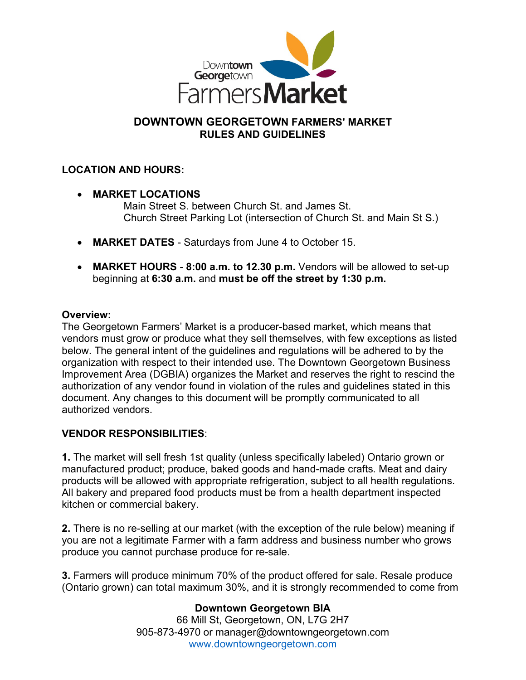

# **DOWNTOWN GEORGETOWN FARMERS' MARKET RULES AND GUIDELINES**

## **LOCATION AND HOURS:**

• **MARKET LOCATIONS**

Main Street S. between Church St. and James St. Church Street Parking Lot (intersection of Church St. and Main St S.)

- **MARKET DATES**  Saturdays from June 4 to October 15.
- **MARKET HOURS 8:00 a.m. to 12.30 p.m.** Vendors will be allowed to set-up beginning at **6:30 a.m.** and **must be off the street by 1:30 p.m.**

#### **Overview:**

The Georgetown Farmers' Market is a producer-based market, which means that vendors must grow or produce what they sell themselves, with few exceptions as listed below. The general intent of the guidelines and regulations will be adhered to by the organization with respect to their intended use. The Downtown Georgetown Business Improvement Area (DGBIA) organizes the Market and reserves the right to rescind the authorization of any vendor found in violation of the rules and guidelines stated in this document. Any changes to this document will be promptly communicated to all authorized vendors.

### **VENDOR RESPONSIBILITIES**:

**1.** The market will sell fresh 1st quality (unless specifically labeled) Ontario grown or manufactured product; produce, baked goods and hand-made crafts. Meat and dairy products will be allowed with appropriate refrigeration, subject to all health regulations. All bakery and prepared food products must be from a health department inspected kitchen or commercial bakery.

**2.** There is no re-selling at our market (with the exception of the rule below) meaning if you are not a legitimate Farmer with a farm address and business number who grows produce you cannot purchase produce for re-sale.

**3.** Farmers will produce minimum 70% of the product offered for sale. Resale produce (Ontario grown) can total maximum 30%, and it is strongly recommended to come from

### **Downtown Georgetown BIA**

66 Mill St, Georgetown, ON, L7G 2H7 905-873-4970 or manager@downtowngeorgetown.com [www.downtowngeorgetown.com](http://www.downtowngeorgetown.com/)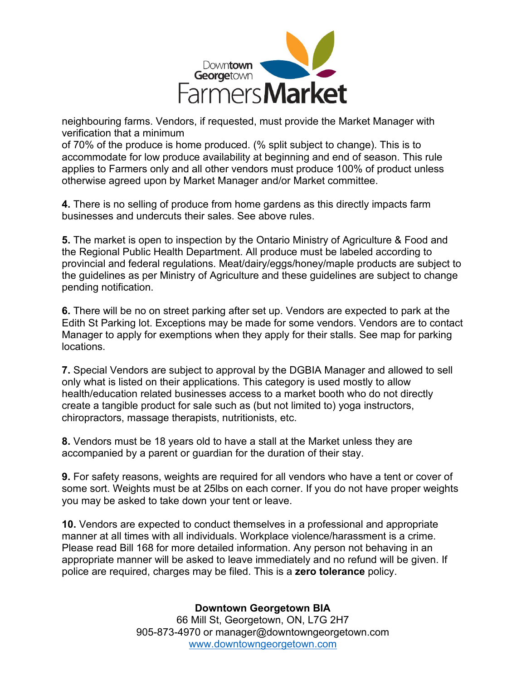

neighbouring farms. Vendors, if requested, must provide the Market Manager with verification that a minimum

of 70% of the produce is home produced. (% split subject to change). This is to accommodate for low produce availability at beginning and end of season. This rule applies to Farmers only and all other vendors must produce 100% of product unless otherwise agreed upon by Market Manager and/or Market committee.

**4.** There is no selling of produce from home gardens as this directly impacts farm businesses and undercuts their sales. See above rules.

**5.** The market is open to inspection by the Ontario Ministry of Agriculture & Food and the Regional Public Health Department. All produce must be labeled according to provincial and federal regulations. Meat/dairy/eggs/honey/maple products are subject to the guidelines as per Ministry of Agriculture and these guidelines are subject to change pending notification.

**6.** There will be no on street parking after set up. Vendors are expected to park at the Edith St Parking lot. Exceptions may be made for some vendors. Vendors are to contact Manager to apply for exemptions when they apply for their stalls. See map for parking locations.

**7.** Special Vendors are subject to approval by the DGBIA Manager and allowed to sell only what is listed on their applications. This category is used mostly to allow health/education related businesses access to a market booth who do not directly create a tangible product for sale such as (but not limited to) yoga instructors, chiropractors, massage therapists, nutritionists, etc.

**8.** Vendors must be 18 years old to have a stall at the Market unless they are accompanied by a parent or guardian for the duration of their stay.

**9.** For safety reasons, weights are required for all vendors who have a tent or cover of some sort. Weights must be at 25lbs on each corner. If you do not have proper weights you may be asked to take down your tent or leave.

**10.** Vendors are expected to conduct themselves in a professional and appropriate manner at all times with all individuals. Workplace violence/harassment is a crime. Please read Bill 168 for more detailed information. Any person not behaving in an appropriate manner will be asked to leave immediately and no refund will be given. If police are required, charges may be filed. This is a **zero tolerance** policy.

**Downtown Georgetown BIA**

66 Mill St, Georgetown, ON, L7G 2H7 905-873-4970 or manager@downtowngeorgetown.com [www.downtowngeorgetown.com](http://www.downtowngeorgetown.com/)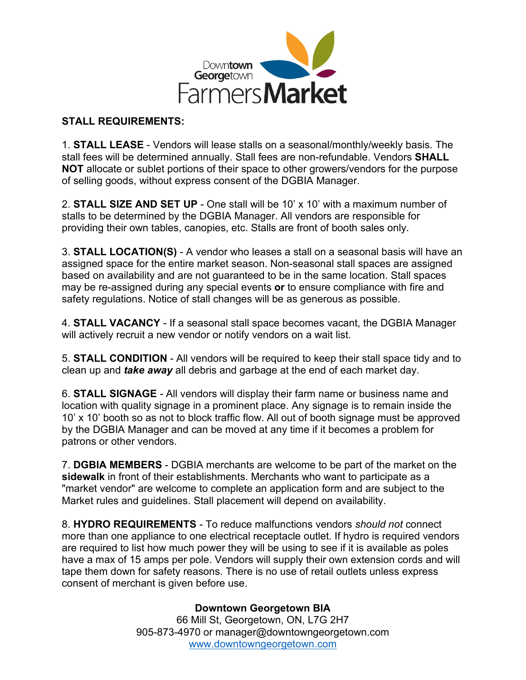

#### **STALL REQUIREMENTS:**

1. **STALL LEASE** - Vendors will lease stalls on a seasonal/monthly/weekly basis. The stall fees will be determined annually. Stall fees are non-refundable. Vendors **SHALL NOT** allocate or sublet portions of their space to other growers/vendors for the purpose of selling goods, without express consent of the DGBIA Manager.

2. **STALL SIZE AND SET UP** - One stall will be 10' x 10' with a maximum number of stalls to be determined by the DGBIA Manager. All vendors are responsible for providing their own tables, canopies, etc. Stalls are front of booth sales only.

3. **STALL LOCATION(S)** - A vendor who leases a stall on a seasonal basis will have an assigned space for the entire market season. Non-seasonal stall spaces are assigned based on availability and are not guaranteed to be in the same location. Stall spaces may be re-assigned during any special events **or** to ensure compliance with fire and safety regulations. Notice of stall changes will be as generous as possible.

4. **STALL VACANCY** - If a seasonal stall space becomes vacant, the DGBIA Manager will actively recruit a new vendor or notify vendors on a wait list.

5. **STALL CONDITION** - All vendors will be required to keep their stall space tidy and to clean up and *take away* all debris and garbage at the end of each market day.

6. **STALL SIGNAGE** - All vendors will display their farm name or business name and location with quality signage in a prominent place. Any signage is to remain inside the 10' x 10' booth so as not to block traffic flow. All out of booth signage must be approved by the DGBIA Manager and can be moved at any time if it becomes a problem for patrons or other vendors.

7. **DGBIA MEMBERS** - DGBIA merchants are welcome to be part of the market on the **sidewalk** in front of their establishments. Merchants who want to participate as a "market vendor" are welcome to complete an application form and are subject to the Market rules and guidelines. Stall placement will depend on availability.

8. **HYDRO REQUIREMENTS** - To reduce malfunctions vendors *should not* connect more than one appliance to one electrical receptacle outlet. If hydro is required vendors are required to list how much power they will be using to see if it is available as poles have a max of 15 amps per pole. Vendors will supply their own extension cords and will tape them down for safety reasons. There is no use of retail outlets unless express consent of merchant is given before use.

### **Downtown Georgetown BIA**

66 Mill St, Georgetown, ON, L7G 2H7 905-873-4970 or manager@downtowngeorgetown.com [www.downtowngeorgetown.com](http://www.downtowngeorgetown.com/)